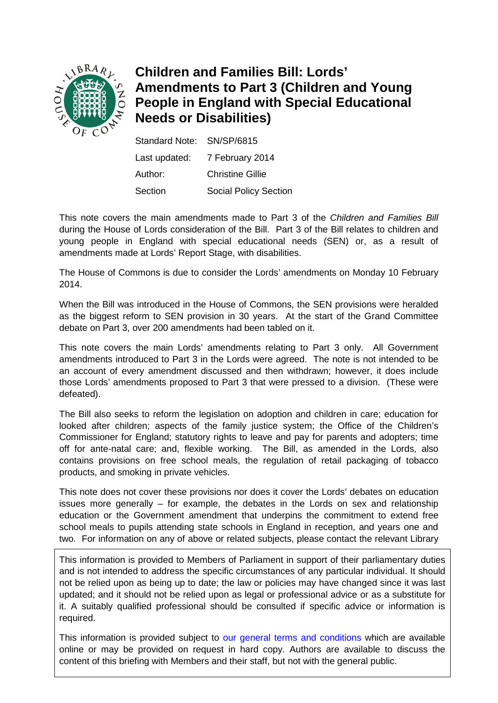

# **Children and Families Bill: Lords' Amendments to Part 3 (Children and Young People in England with Special Educational Needs or Disabilities)**

| Standard Note: SN/SP/6815 |                              |
|---------------------------|------------------------------|
| Last updated:             | 7 February 2014              |
| Author:                   | <b>Christine Gillie</b>      |
| Section                   | <b>Social Policy Section</b> |

This note covers the main amendments made to Part 3 of the *Children and Families Bill* during the House of Lords consideration of the Bill. Part 3 of the Bill relates to children and young people in England with special educational needs (SEN) or, as a result of amendments made at Lords' Report Stage, with disabilities.

The House of Commons is due to consider the Lords' amendments on Monday 10 February 2014.

When the Bill was introduced in the House of Commons, the SEN provisions were heralded as the biggest reform to SEN provision in 30 years. At the start of the Grand Committee debate on Part 3, over 200 amendments had been tabled on it.

This note covers the main Lords' amendments relating to Part 3 only. All Government amendments introduced to Part 3 in the Lords were agreed. The note is not intended to be an account of every amendment discussed and then withdrawn; however, it does include those Lords' amendments proposed to Part 3 that were pressed to a division. (These were defeated).

The Bill also seeks to reform the legislation on adoption and children in care; education for looked after children; aspects of the family justice system; the Office of the Children's Commissioner for England; statutory rights to leave and pay for parents and adopters; time off for ante-natal care; and, flexible working. The Bill, as amended in the Lords, also contains provisions on free school meals, the regulation of retail packaging of tobacco products, and smoking in private vehicles.

This note does not cover these provisions nor does it cover the Lords' debates on education issues more generally – for example, the debates in the Lords on sex and relationship education or the Government amendment that underpins the commitment to extend free school meals to pupils attending state schools in England in reception, and years one and two. For information on any of above or related subjects, please contact the relevant Library

This information is provided to Members of Parliament in support of their parliamentary duties and is not intended to address the specific circumstances of any particular individual. It should not be relied upon as being up to date; the law or policies may have changed since it was last updated; and it should not be relied upon as legal or professional advice or as a substitute for it. A suitably qualified professional should be consulted if specific advice or information is required.

This information is provided subject to [our general terms and conditions](http://www.parliament.uk/site-information/copyright/) which are available online or may be provided on request in hard copy. Authors are available to discuss the content of this briefing with Members and their staff, but not with the general public.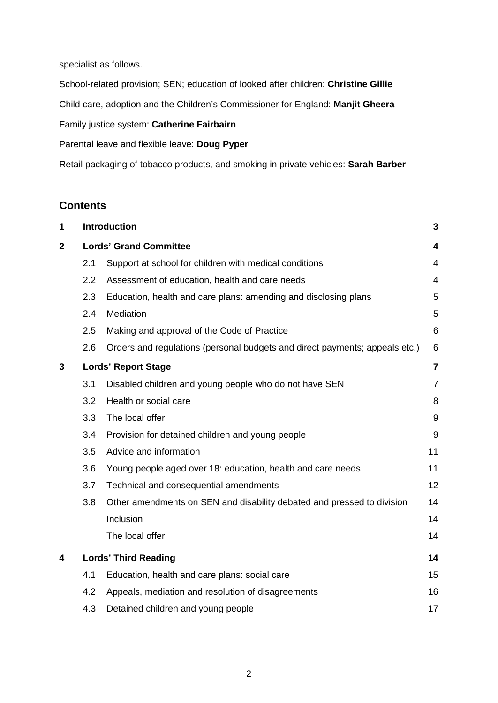specialist as follows.

School-related provision; SEN; education of looked after children: **Christine Gillie**

Child care, adoption and the Children's Commissioner for England: **Manjit Gheera**

Family justice system: **Catherine Fairbairn**

Parental leave and flexible leave: **Doug Pyper**

Retail packaging of tobacco products, and smoking in private vehicles: **Sarah Barber**

## **Contents**

| 1            |                               | <b>Introduction</b>                                                         | 3                       |
|--------------|-------------------------------|-----------------------------------------------------------------------------|-------------------------|
| $\mathbf{2}$ | <b>Lords' Grand Committee</b> |                                                                             | 4                       |
|              | 2.1                           | Support at school for children with medical conditions                      | 4                       |
|              | 2.2                           | Assessment of education, health and care needs                              | 4                       |
|              | 2.3                           | Education, health and care plans: amending and disclosing plans             | 5                       |
|              | 2.4                           | Mediation                                                                   | 5                       |
|              | 2.5                           | Making and approval of the Code of Practice                                 | 6                       |
|              | 2.6                           | Orders and regulations (personal budgets and direct payments; appeals etc.) | 6                       |
| 3            | <b>Lords' Report Stage</b>    |                                                                             | $\overline{\mathbf{7}}$ |
|              | 3.1                           | Disabled children and young people who do not have SEN                      | $\overline{7}$          |
|              | 3.2                           | Health or social care                                                       | 8                       |
|              | 3.3                           | The local offer                                                             | 9                       |
|              | 3.4                           | Provision for detained children and young people                            | 9                       |
|              | 3.5                           | Advice and information                                                      | 11                      |
|              | 3.6                           | Young people aged over 18: education, health and care needs                 | 11                      |
|              | 3.7                           | Technical and consequential amendments                                      | 12                      |
|              | 3.8                           | Other amendments on SEN and disability debated and pressed to division      | 14                      |
|              |                               | Inclusion                                                                   | 14                      |
|              |                               | The local offer                                                             | 14                      |
| 4            |                               | <b>Lords' Third Reading</b>                                                 |                         |
|              | 4.1                           | Education, health and care plans: social care                               | 15                      |
|              | 4.2                           | Appeals, mediation and resolution of disagreements                          | 16                      |
|              | 4.3                           | Detained children and young people                                          | 17                      |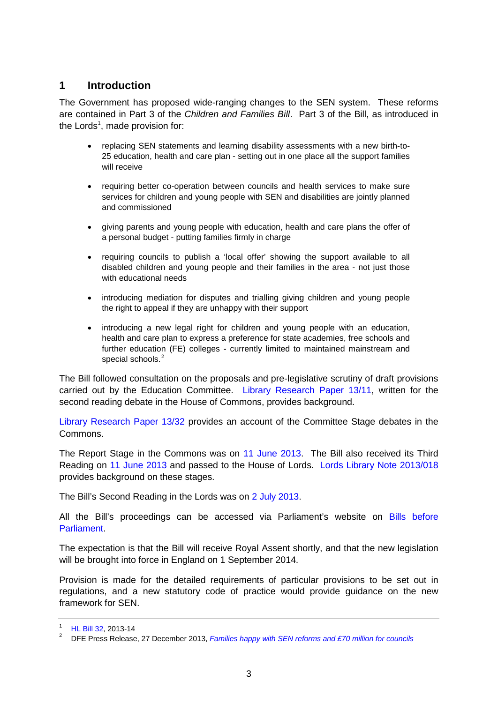## <span id="page-2-0"></span>**1 Introduction**

The Government has proposed wide-ranging changes to the SEN system. These reforms are contained in Part 3 of the *Children and Families Bill*. Part 3 of the Bill, as introduced in the Lords<sup>[1](#page-2-1)</sup>, made provision for:

- replacing SEN statements and learning disability assessments with a new birth-to-25 education, health and care plan - setting out in one place all the support families will receive
- requiring better co-operation between councils and health services to make sure services for children and young people with SEN and disabilities are jointly planned and commissioned
- giving parents and young people with education, health and care plans the offer of a personal budget - putting families firmly in charge
- requiring councils to publish a 'local offer' showing the support available to all disabled children and young people and their families in the area - not just those with educational needs
- introducing mediation for disputes and trialling giving children and young people the right to appeal if they are unhappy with their support
- introducing a new legal right for children and young people with an education, health and care plan to express a preference for state academies, free schools and further education (FE) colleges - currently limited to maintained mainstream and special schools.<sup>[2](#page-2-2)</sup>

The Bill followed consultation on the proposals and pre-legislative scrutiny of draft provisions carried out by the Education Committee. [Library Research Paper 13/11,](http://www.parliament.uk/briefing-papers/RP13-11) written for the second reading debate in the House of Commons, provides background.

[Library Research Paper 13/32](http://www.parliament.uk/briefing-papers/RP13-32) provides an account of the Committee Stage debates in the Commons.

The Report Stage in the Commons was on [11 June 2013.](http://www.publications.parliament.uk/pa/cm201314/cmhansrd/cm130611/debtext/130611-0001.htm#13061171000001) The Bill also received its Third Reading on [11 June 2013](http://www.publications.parliament.uk/pa/cm201314/cmhansrd/cm130611/debtext/130611-0001.htm#13061171000001) and passed to the House of Lords. [Lords Library Note 2013/018](http://www.parliament.uk/briefing-papers/LLN-2013-018/children-and-families-bill-hl-bill-32-of-201314) provides background on these stages.

The Bill's Second Reading in the Lords was on [2 July 2013.](http://www.publications.parliament.uk/pa/ld201314/ldhansrd/text/130702-0001.htm#13070283000466)

All the Bill's proceedings can be accessed via Parliament's website on [Bills before](http://services.parliament.uk/bills/)  **Parliament** 

The expectation is that the Bill will receive Royal Assent shortly, and that the new legislation will be brought into force in England on 1 September 2014.

Provision is made for the detailed requirements of particular provisions to be set out in regulations, and a new statutory code of practice would provide guidance on the new framework for SEN.

<span id="page-2-2"></span><span id="page-2-1"></span>

[HL Bill 32,](http://www.publications.parliament.uk/pa/bills/lbill/2013-2014/0032/lbill_2013-20140032_en_1.htm) 2013-14<br>DFE Press Release, 27 December 2013, *[Families happy with SEN reforms and £70 million for councils](https://www.gov.uk/government/news/families-happy-with-sen-reforms-and-70-million-for-councils)*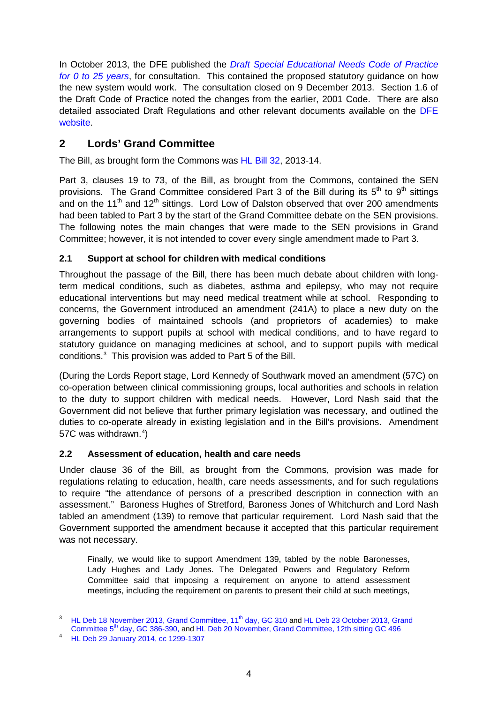In October 2013, the DFE published the *[Draft Special Educational Needs Code of Practice](https://www.gov.uk/government/consultations/special-educational-needs-sen-code-of-practice-and-regulations)  for [0 to 25 years](https://www.gov.uk/government/consultations/special-educational-needs-sen-code-of-practice-and-regulations)*, for consultation. This contained the proposed statutory guidance on how the new system would work. The consultation closed on 9 December 2013. Section 1.6 of the Draft Code of Practice noted the changes from the earlier, 2001 Code. There are also detailed associated Draft Regulations and other relevant documents available on the DFE [website.](https://www.gov.uk/government/consultations/special-educational-needs-sen-code-of-practice-and-regulations)

## <span id="page-3-0"></span>**2 Lords' Grand Committee**

The Bill, as brought form the Commons was [HL Bill 32,](http://www.publications.parliament.uk/pa/bills/lbill/2013-2014/0032/lbill_2013-20140032_en_1.htm) 2013-14.

Part 3, clauses 19 to 73, of the Bill, as brought from the Commons, contained the SEN provisions. The Grand Committee considered Part 3 of the Bill during its  $5<sup>th</sup>$  to  $9<sup>th</sup>$  sittings and on the 11<sup>th</sup> and 12<sup>th</sup> sittings. Lord Low of Dalston observed that over 200 amendments had been tabled to Part 3 by the start of the Grand Committee debate on the SEN provisions. The following notes the main changes that were made to the SEN provisions in Grand Committee; however, it is not intended to cover every single amendment made to Part 3.

### <span id="page-3-1"></span>**2.1 Support at school for children with medical conditions**

Throughout the passage of the Bill, there has been much debate about children with longterm medical conditions, such as diabetes, asthma and epilepsy, who may not require educational interventions but may need medical treatment while at school. Responding to concerns, the Government introduced an amendment (241A) to place a new duty on the governing bodies of maintained schools (and proprietors of academies) to make arrangements to support pupils at school with medical conditions, and to have regard to statutory guidance on managing medicines at school, and to support pupils with medical conditions.[3](#page-3-3) This provision was added to Part 5 of the Bill.

(During the Lords Report stage, Lord Kennedy of Southwark moved an amendment (57C) on co-operation between clinical commissioning groups, local authorities and schools in relation to the duty to support children with medical needs. However, Lord Nash said that the Government did not believe that further primary legislation was necessary, and outlined the duties to co-operate already in existing legislation and in the Bill's provisions. Amendment 57C was withdrawn.<sup>[4](#page-3-4)</sup>)

#### <span id="page-3-2"></span>**2.2 Assessment of education, health and care needs**

Under clause 36 of the Bill, as brought from the Commons, provision was made for regulations relating to education, health, care needs assessments, and for such regulations to require "the attendance of persons of a prescribed description in connection with an assessment." Baroness Hughes of Stretford, Baroness Jones of Whitchurch and Lord Nash tabled an amendment (139) to remove that particular requirement. Lord Nash said that the Government supported the amendment because it accepted that this particular requirement was not necessary.

Finally, we would like to support Amendment 139, tabled by the noble Baronesses, Lady Hughes and Lady Jones. The Delegated Powers and Regulatory Reform Committee said that imposing a requirement on anyone to attend assessment meetings, including the requirement on parents to present their child at such meetings,

<span id="page-3-3"></span><sup>&</sup>lt;sup>3</sup> [HL Deb 18 November 2013, Grand Committee, 11](http://www.publications.parliament.uk/pa/ld201314/ldhansrd/text/131118-gc0001.htm#13111810000293)<sup>th</sup> day, GC 310 and HL Deb 23 October 2013, Grand Committee 5<sup>th</sup> [day, GC 386-390,](http://www.publications.parliament.uk/pa/ld201314/ldhansrd/text/131023-gc0001.htm#13102369000129) an[d HL Deb 20 November, Grand Committee, 12th sitting GC 496](http://www.publications.parliament.uk/pa/ld201314/ldhansrd/text/131120-gc0002.htm)

<span id="page-3-4"></span>[HL Deb 29 January 2014, cc 1299-1307](http://www.publications.parliament.uk/pa/ld201314/ldhansrd/text/140129-0003.htm)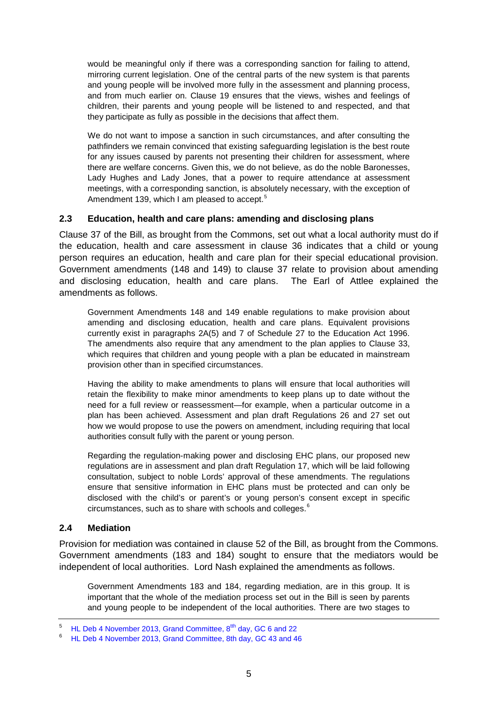would be meaningful only if there was a corresponding sanction for failing to attend, mirroring current legislation. One of the central parts of the new system is that parents and young people will be involved more fully in the assessment and planning process, and from much earlier on. Clause 19 ensures that the views, wishes and feelings of children, their parents and young people will be listened to and respected, and that they participate as fully as possible in the decisions that affect them.

We do not want to impose a sanction in such circumstances, and after consulting the pathfinders we remain convinced that existing safeguarding legislation is the best route for any issues caused by parents not presenting their children for assessment, where there are welfare concerns. Given this, we do not believe, as do the noble Baronesses, Lady Hughes and Lady Jones, that a power to require attendance at assessment meetings, with a corresponding sanction, is absolutely necessary, with the exception of Amendment 139, which I am pleased to accept.<sup>[5](#page-4-2)</sup>

#### <span id="page-4-0"></span>**2.3 Education, health and care plans: amending and disclosing plans**

Clause 37 of the Bill, as brought from the Commons, set out what a local authority must do if the education, health and care assessment in clause 36 indicates that a child or young person requires an education, health and care plan for their special educational provision. Government amendments (148 and 149) to clause 37 relate to provision about amending and disclosing education, health and care plans. The Earl of Attlee explained the amendments as follows.

Government Amendments 148 and 149 enable regulations to make provision about amending and disclosing education, health and care plans. Equivalent provisions currently exist in paragraphs 2A(5) and 7 of Schedule 27 to the Education Act 1996. The amendments also require that any amendment to the plan applies to Clause 33, which requires that children and young people with a plan be educated in mainstream provision other than in specified circumstances.

Having the ability to make amendments to plans will ensure that local authorities will retain the flexibility to make minor amendments to keep plans up to date without the need for a full review or reassessment—for example, when a particular outcome in a plan has been achieved. Assessment and plan draft Regulations 26 and 27 set out how we would propose to use the powers on amendment, including requiring that local authorities consult fully with the parent or young person.

Regarding the regulation-making power and disclosing EHC plans, our proposed new regulations are in assessment and plan draft Regulation 17, which will be laid following consultation, subject to noble Lords' approval of these amendments. The regulations ensure that sensitive information in EHC plans must be protected and can only be disclosed with the child's or parent's or young person's consent except in specific circumstances, such as to share with schools and colleges.[6](#page-4-3)

### <span id="page-4-1"></span>**2.4 Mediation**

Provision for mediation was contained in clause 52 of the Bill, as brought from the Commons. Government amendments (183 and 184) sought to ensure that the mediators would be independent of local authorities. Lord Nash explained the amendments as follows.

Government Amendments 183 and 184, regarding mediation, are in this group. It is important that the whole of the mediation process set out in the Bill is seen by parents and young people to be independent of the local authorities. There are two stages to

<span id="page-4-2"></span><sup>&</sup>lt;sup>5</sup> HL Deb 4 November 2013, Grand Committee,  $8^{th}$  day, GC 6 and 22<br><sup>6</sup> HL Deb 4 November 2013, Crand Committee,  $8^{th}$  day, CC 43 and 44

<span id="page-4-3"></span><sup>6</sup> [HL Deb 4 November 2013, Grand Committee, 8th](http://www.publications.parliament.uk/pa/ld201314/ldhansrd/text/131104-gc0001.htm#13110428000325) day, GC 43 and 46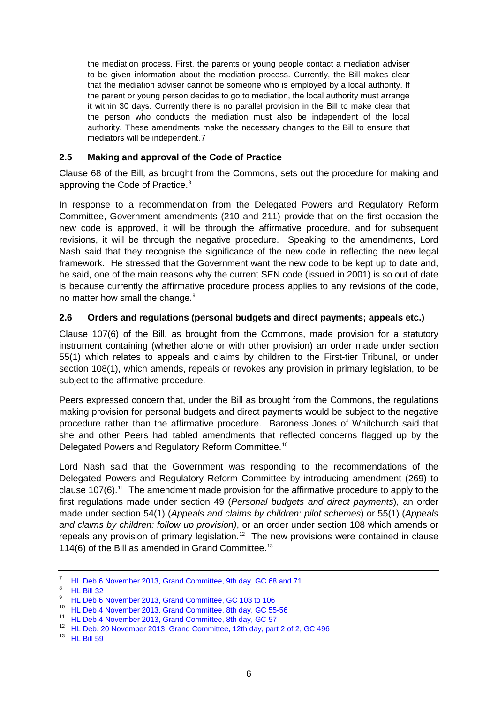the mediation process. First, the parents or young people contact a mediation adviser to be given information about the mediation process. Currently, the Bill makes clear that the mediation adviser cannot be someone who is employed by a local authority. If the parent or young person decides to go to mediation, the local authority must arrange it within 30 days. Currently there is no parallel provision in the Bill to make clear that the person who conducts the mediation must also be independent of the local authority. These amendments make the necessary changes to the Bill to ensure that mediators will be independent.[7](#page-5-2)

#### <span id="page-5-0"></span>**2.5 Making and approval of the Code of Practice**

Clause 68 of the Bill, as brought from the Commons, sets out the procedure for making and approving the Code of Practice. [8](#page-5-3)

In response to a recommendation from the Delegated Powers and Regulatory Reform Committee, Government amendments (210 and 211) provide that on the first occasion the new code is approved, it will be through the affirmative procedure, and for subsequent revisions, it will be through the negative procedure. Speaking to the amendments, Lord Nash said that they recognise the significance of the new code in reflecting the new legal framework. He stressed that the Government want the new code to be kept up to date and, he said, one of the main reasons why the current SEN code (issued in 2001) is so out of date is because currently the affirmative procedure process applies to any revisions of the code, no matter how small the change.<sup>[9](#page-5-4)</sup>

#### <span id="page-5-1"></span>**2.6 Orders and regulations (personal budgets and direct payments; appeals etc.)**

Clause 107(6) of the Bill, as brought from the Commons, made provision for a statutory instrument containing (whether alone or with other provision) an order made under section 55(1) which relates to appeals and claims by children to the First-tier Tribunal, or under section 108(1), which amends, repeals or revokes any provision in primary legislation, to be subject to the affirmative procedure.

Peers expressed concern that, under the Bill as brought from the Commons, the regulations making provision for personal budgets and direct payments would be subject to the negative procedure rather than the affirmative procedure. Baroness Jones of Whitchurch said that she and other Peers had tabled amendments that reflected concerns flagged up by the Delegated Powers and Regulatory Reform Committee.[10](#page-5-5)

Lord Nash said that the Government was responding to the recommendations of the Delegated Powers and Regulatory Reform Committee by introducing amendment (269) to clause 107(6).[11](#page-5-6) The amendment made provision for the affirmative procedure to apply to the first regulations made under section 49 (*Personal budgets and direct payments*), an order made under section 5[4\(1\)](http://www.publications.parliament.uk/pa/bills/lbill/2013-2014/0059/lbill_2013-20140059_en_6.htm#pt3-pb11-l1g54-l1p1-l2p1) (*Appeals and claims by children: pilot schemes*) or 5[5\(1\)](http://www.publications.parliament.uk/pa/bills/lbill/2013-2014/0059/lbill_2013-20140059_en_6.htm#pt3-pb11-l1g55-l1p1-l2p1) (*Appeals and claims by children: follow up provision)*, or an order under section 108 which amends or repeals any provision of primary legislation.<sup>[12](#page-5-7)</sup> The new provisions were contained in clause 114(6) of the Bill as amended in Grand Committee.<sup>13</sup>

<span id="page-5-2"></span><sup>7</sup> [HL Deb 6 November 2013, Grand Committee, 9th day, GC 68 and 71](http://www.publications.parliament.uk/pa/ld201314/ldhansrd/text/131106-gc0001.htm#13110666000068)

<span id="page-5-3"></span> $8$  [HL Bill 32](http://www.publications.parliament.uk/pa/bills/lbill/2013-2014/0032/lbill_2013-20140032_en_1.htm)

<span id="page-5-4"></span><sup>&</sup>lt;sup>9</sup> [HL Deb 6 November 2013, Grand Committee, GC 103 to 106](http://www.publications.parliament.uk/pa/ld201314/ldhansrd/text/131106-gc0001.htm#13110666000068)

<span id="page-5-5"></span><sup>10</sup> [HL Deb 4 November 2013, Grand Committee, 8th day, GC 55-56](http://www.publications.parliament.uk/pa/ld201314/ldhansrd/text/131104-gc0001.htm#13110428000325)

<span id="page-5-6"></span><sup>11</sup> [HL Deb 4 November 2013, Grand Committee, 8th day, GC 57](http://www.publications.parliament.uk/pa/ld201314/ldhansrd/text/131104-gc0001.htm#13110428000325)

<sup>12</sup> [HL Deb, 20 November 2013, Grand Committee, 12th day, part 2 of 2, GC 496](http://www.publications.parliament.uk/pa/ld201314/ldhansrd/text/131120-gc0002.htm)

<span id="page-5-8"></span><span id="page-5-7"></span><sup>13</sup> [HL Bill 59](http://www.publications.parliament.uk/pa/bills/lbill/2013-2014/0059/lbill_2013-20140059_en_1.htm)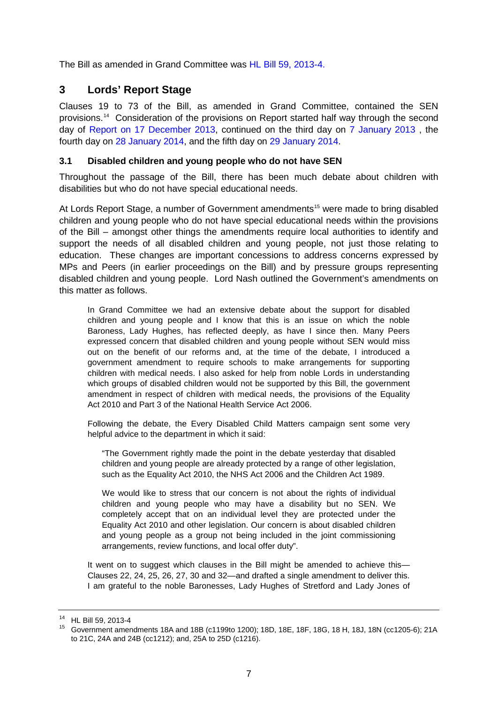The Bill as amended in Grand Committee was [HL Bill 59, 2013-4.](http://www.publications.parliament.uk/pa/bills/lbill/2013-2014/0059/14059.pdf)

## <span id="page-6-0"></span>**3 Lords' Report Stage**

Clauses 19 to 73 of the Bill, as amended in Grand Committee, contained the SEN provisions.[14](#page-6-2) Consideration of the provisions on Report started half way through the second day of [Report on 17 December 2013,](http://www.publications.parliament.uk/pa/ld201314/ldhansrd/text/131217-0001.htm#13121759000785) continued on the third day on [7 January 2013](http://www.publications.parliament.uk/pa/ld201314/ldhansrd/index/140107.html) , the fourth day on [28 January 2014,](http://www.publications.parliament.uk/pa/ld201314/ldhansrd/text/140128-0002.htm#14012881000655) and the fifth day on [29 January 2014.](http://www.publications.parliament.uk/pa/ld201314/ldhansrd/text/140129-0001.htm#14012956000437)

#### <span id="page-6-1"></span>**3.1 Disabled children and young people who do not have SEN**

Throughout the passage of the Bill, there has been much debate about children with disabilities but who do not have special educational needs.

At Lords Report Stage, a number of Government amendments<sup>[15](#page-6-3)</sup> were made to bring disabled children and young people who do not have special educational needs within the provisions of the Bill – amongst other things the amendments require local authorities to identify and support the needs of all disabled children and young people, not just those relating to education. These changes are important concessions to address concerns expressed by MPs and Peers (in earlier proceedings on the Bill) and by pressure groups representing disabled children and young people. Lord Nash outlined the Government's amendments on this matter as follows.

In Grand Committee we had an extensive debate about the support for disabled children and young people and I know that this is an issue on which the noble Baroness, Lady Hughes, has reflected deeply, as have I since then. Many Peers expressed concern that disabled children and young people without SEN would miss out on the benefit of our reforms and, at the time of the debate, I introduced a government amendment to require schools to make arrangements for supporting children with medical needs. I also asked for help from noble Lords in understanding which groups of disabled children would not be supported by this Bill, the government amendment in respect of children with medical needs, the provisions of the Equality Act 2010 and Part 3 of the National Health Service Act 2006.

Following the debate, the Every Disabled Child Matters campaign sent some very helpful advice to the department in which it said:

"The Government rightly made the point in the debate yesterday that disabled children and young people are already protected by a range of other legislation, such as the Equality Act 2010, the NHS Act 2006 and the Children Act 1989.

We would like to stress that our concern is not about the rights of individual children and young people who may have a disability but no SEN. We completely accept that on an individual level they are protected under the Equality Act 2010 and other legislation. Our concern is about disabled children and young people as a group not being included in the joint commissioning arrangements, review functions, and local offer duty".

It went on to suggest which clauses in the Bill might be amended to achieve this— Clauses 22, 24, 25, 26, 27, 30 and 32—and drafted a single amendment to deliver this. I am grateful to the noble Baronesses, Lady Hughes of Stretford and Lady Jones of

<span id="page-6-2"></span><sup>14</sup> HL Bill 59, 2013-4

<span id="page-6-3"></span><sup>15</sup> Government amendments 18A and 18B (c1199to 1200); 18D, 18E, 18F, 18G, 18 H, 18J, 18N (cc1205-6); 21A to 21C, 24A and 24B (cc1212); and, 25A to 25D (c1216).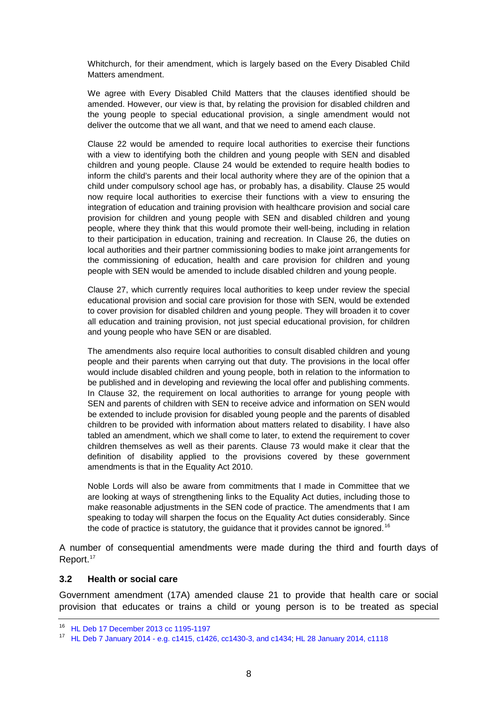Whitchurch, for their amendment, which is largely based on the Every Disabled Child Matters amendment.

We agree with Every Disabled Child Matters that the clauses identified should be amended. However, our view is that, by relating the provision for disabled children and the young people to special educational provision, a single amendment would not deliver the outcome that we all want, and that we need to amend each clause.

Clause 22 would be amended to require local authorities to exercise their functions with a view to identifying both the children and young people with SEN and disabled children and young people. Clause 24 would be extended to require health bodies to inform the child's parents and their local authority where they are of the opinion that a child under compulsory school age has, or probably has, a disability. Clause 25 would now require local authorities to exercise their functions with a view to ensuring the integration of education and training provision with healthcare provision and social care provision for children and young people with SEN and disabled children and young people, where they think that this would promote their well-being, including in relation to their participation in education, training and recreation. In Clause 26, the duties on local authorities and their partner commissioning bodies to make joint arrangements for the commissioning of education, health and care provision for children and young people with SEN would be amended to include disabled children and young people.

Clause 27, which currently requires local authorities to keep under review the special educational provision and social care provision for those with SEN, would be extended to cover provision for disabled children and young people. They will broaden it to cover all education and training provision, not just special educational provision, for children and young people who have SEN or are disabled.

The amendments also require local authorities to consult disabled children and young people and their parents when carrying out that duty. The provisions in the local offer would include disabled children and young people, both in relation to the information to be published and in developing and reviewing the local offer and publishing comments. In Clause 32, the requirement on local authorities to arrange for young people with SEN and parents of children with SEN to receive advice and information on SEN would be extended to include provision for disabled young people and the parents of disabled children to be provided with information about matters related to disability. I have also tabled an amendment, which we shall come to later, to extend the requirement to cover children themselves as well as their parents. Clause 73 would make it clear that the definition of disability applied to the provisions covered by these government amendments is that in the Equality Act 2010.

Noble Lords will also be aware from commitments that I made in Committee that we are looking at ways of strengthening links to the Equality Act duties, including those to make reasonable adjustments in the SEN code of practice. The amendments that I am speaking to today will sharpen the focus on the Equality Act duties considerably. Since the code of practice is statutory, the guidance that it provides cannot be ignored.<sup>[16](#page-7-1)</sup>

A number of consequential amendments were made during the third and fourth days of Report.<sup>[17](#page-7-2)</sup>

#### <span id="page-7-0"></span>**3.2 Health or social care**

Government amendment (17A) amended clause 21 to provide that health care or social provision that educates or trains a child or young person is to be treated as special

<span id="page-7-1"></span><sup>16</sup> [HL Deb 17 December 2013 cc 1195-1197](http://www.publications.parliament.uk/pa/ld201314/ldhansrd/text/131217-0002.htm)

<span id="page-7-2"></span><sup>17</sup> HL Deb 7 January 2014 - [e.g. c1415, c1426, cc1430-3, and c1434;](http://www.publications.parliament.uk/pa/ld201314/ldhansrd/text/140107-0001.htm#14010750000895) [HL 28 January 2014, c1118](http://www.publications.parliament.uk/pa/ld201314/ldhansrd/text/140128-0002.htm#14012881000655)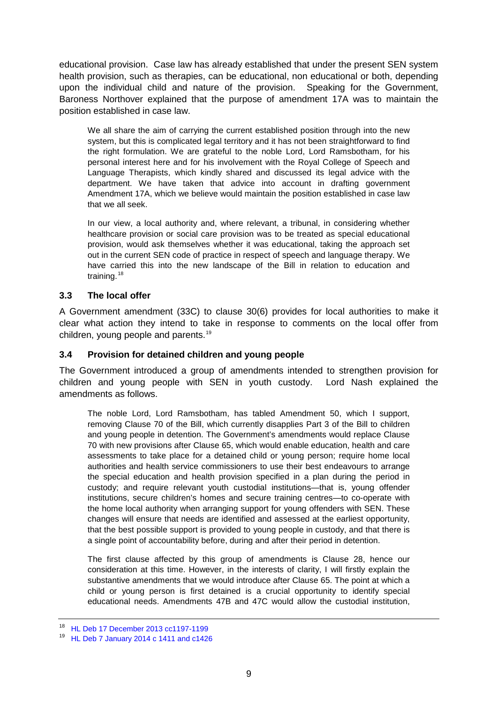educational provision. Case law has already established that under the present SEN system health provision, such as therapies, can be educational, non educational or both, depending upon the individual child and nature of the provision. Speaking for the Government, Baroness Northover explained that the purpose of amendment 17A was to maintain the position established in case law.

We all share the aim of carrying the current established position through into the new system, but this is complicated legal territory and it has not been straightforward to find the right formulation. We are grateful to the noble Lord, Lord Ramsbotham, for his personal interest here and for his involvement with the Royal College of Speech and Language Therapists, which kindly shared and discussed its legal advice with the department. We have taken that advice into account in drafting government Amendment 17A, which we believe would maintain the position established in case law that we all seek.

In our view, a local authority and, where relevant, a tribunal, in considering whether healthcare provision or social care provision was to be treated as special educational provision, would ask themselves whether it was educational, taking the approach set out in the current SEN code of practice in respect of speech and language therapy. We have carried this into the new landscape of the Bill in relation to education and training.<sup>[18](#page-8-2)</sup>

#### <span id="page-8-0"></span>**3.3 The local offer**

A Government amendment (33C) to clause 30(6) provides for local authorities to make it clear what action they intend to take in response to comments on the local offer from children, young people and parents.[19](#page-8-3)

#### <span id="page-8-1"></span>**3.4 Provision for detained children and young people**

The Government introduced a group of amendments intended to strengthen provision for children and young people with SEN in youth custody. Lord Nash explained the amendments as follows.

The noble Lord, Lord Ramsbotham, has tabled Amendment 50, which I support, removing Clause 70 of the Bill, which currently disapplies Part 3 of the Bill to children and young people in detention. The Government's amendments would replace Clause 70 with new provisions after Clause 65, which would enable education, health and care assessments to take place for a detained child or young person; require home local authorities and health service commissioners to use their best endeavours to arrange the special education and health provision specified in a plan during the period in custody; and require relevant youth custodial institutions—that is, young offender institutions, secure children's homes and secure training centres—to co-operate with the home local authority when arranging support for young offenders with SEN. These changes will ensure that needs are identified and assessed at the earliest opportunity, that the best possible support is provided to young people in custody, and that there is a single point of accountability before, during and after their period in detention.

The first clause affected by this group of amendments is Clause 28, hence our consideration at this time. However, in the interests of clarity, I will firstly explain the substantive amendments that we would introduce after Clause 65. The point at which a child or young person is first detained is a crucial opportunity to identify special educational needs. Amendments 47B and 47C would allow the custodial institution,

<span id="page-8-2"></span><sup>18</sup> [HL Deb 17 December 2013 cc1197-1199](http://www.publications.parliament.uk/pa/ld201314/ldhansrd/text/131217-0002.htm)

<span id="page-8-3"></span><sup>19</sup> [HL Deb 7 January 2014 c 1411 and c1426](http://www.publications.parliament.uk/pa/ld201314/ldhansrd/text/140107-0001.htm#14010750000895)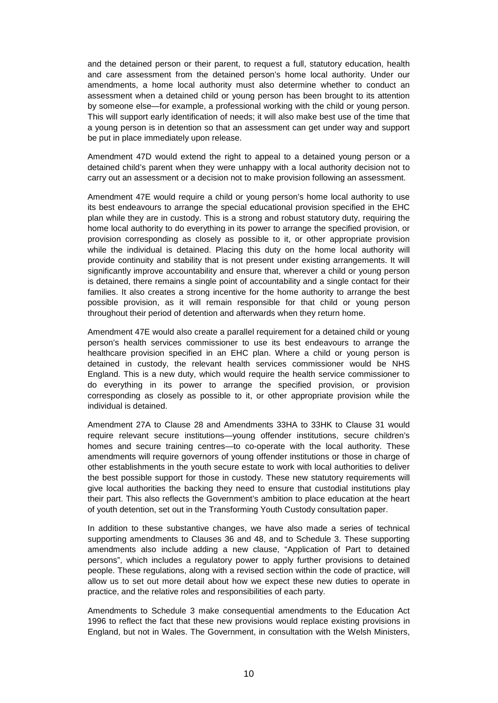and the detained person or their parent, to request a full, statutory education, health and care assessment from the detained person's home local authority. Under our amendments, a home local authority must also determine whether to conduct an assessment when a detained child or young person has been brought to its attention by someone else—for example, a professional working with the child or young person. This will support early identification of needs; it will also make best use of the time that a young person is in detention so that an assessment can get under way and support be put in place immediately upon release.

Amendment 47D would extend the right to appeal to a detained young person or a detained child's parent when they were unhappy with a local authority decision not to carry out an assessment or a decision not to make provision following an assessment.

Amendment 47E would require a child or young person's home local authority to use its best endeavours to arrange the special educational provision specified in the EHC plan while they are in custody. This is a strong and robust statutory duty, requiring the home local authority to do everything in its power to arrange the specified provision, or provision corresponding as closely as possible to it, or other appropriate provision while the individual is detained. Placing this duty on the home local authority will provide continuity and stability that is not present under existing arrangements. It will significantly improve accountability and ensure that, wherever a child or young person is detained, there remains a single point of accountability and a single contact for their families. It also creates a strong incentive for the home authority to arrange the best possible provision, as it will remain responsible for that child or young person throughout their period of detention and afterwards when they return home.

Amendment 47E would also create a parallel requirement for a detained child or young person's health services commissioner to use its best endeavours to arrange the healthcare provision specified in an EHC plan. Where a child or young person is detained in custody, the relevant health services commissioner would be NHS England. This is a new duty, which would require the health service commissioner to do everything in its power to arrange the specified provision, or provision corresponding as closely as possible to it, or other appropriate provision while the individual is detained.

Amendment 27A to Clause 28 and Amendments 33HA to 33HK to Clause 31 would require relevant secure institutions—young offender institutions, secure children's homes and secure training centres—to co-operate with the local authority. These amendments will require governors of young offender institutions or those in charge of other establishments in the youth secure estate to work with local authorities to deliver the best possible support for those in custody. These new statutory requirements will give local authorities the backing they need to ensure that custodial institutions play their part. This also reflects the Government's ambition to place education at the heart of youth detention, set out in the Transforming Youth Custody consultation paper.

In addition to these substantive changes, we have also made a series of technical supporting amendments to Clauses 36 and 48, and to Schedule 3. These supporting amendments also include adding a new clause, "Application of Part to detained persons", which includes a regulatory power to apply further provisions to detained people. These regulations, along with a revised section within the code of practice, will allow us to set out more detail about how we expect these new duties to operate in practice, and the relative roles and responsibilities of each party.

Amendments to Schedule 3 make consequential amendments to the Education Act 1996 to reflect the fact that these new provisions would replace existing provisions in England, but not in Wales. The Government, in consultation with the Welsh Ministers,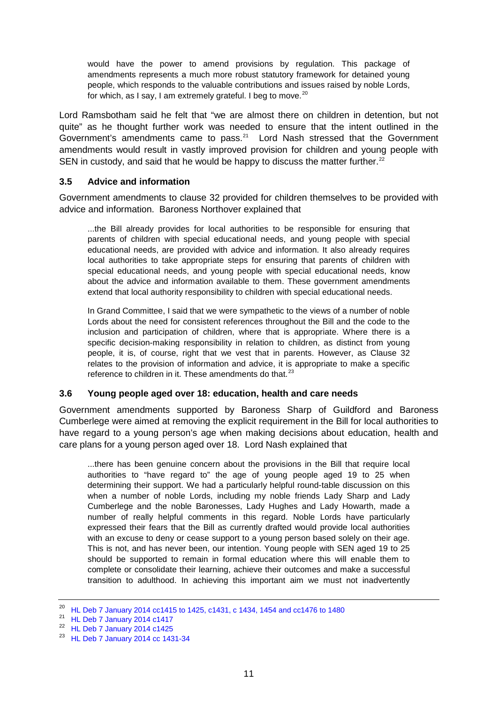would have the power to amend provisions by regulation. This package of amendments represents a much more robust statutory framework for detained young people, which responds to the valuable contributions and issues raised by noble Lords, for which, as I say, I am extremely grateful. I beg to move.<sup>[20](#page-10-2)</sup>

Lord Ramsbotham said he felt that "we are almost there on children in detention, but not quite" as he thought further work was needed to ensure that the intent outlined in the Government's amendments came to pass.<sup>[21](#page-10-3)</sup> Lord Nash stressed that the Government amendments would result in vastly improved provision for children and young people with SEN in custody, and said that he would be happy to discuss the matter further.<sup>[22](#page-10-4)</sup>

#### <span id="page-10-0"></span>**3.5 Advice and information**

Government amendments to clause 32 provided for children themselves to be provided with advice and information. Baroness Northover explained that

...the Bill already provides for local authorities to be responsible for ensuring that parents of children with special educational needs, and young people with special educational needs, are provided with advice and information. It also already requires local authorities to take appropriate steps for ensuring that parents of children with special educational needs, and young people with special educational needs, know about the advice and information available to them. These government amendments extend that local authority responsibility to children with special educational needs.

In Grand Committee, I said that we were sympathetic to the views of a number of noble Lords about the need for consistent references throughout the Bill and the code to the inclusion and participation of children, where that is appropriate. Where there is a specific decision-making responsibility in relation to children, as distinct from young people, it is, of course, right that we vest that in parents. However, as Clause 32 relates to the provision of information and advice, it is appropriate to make a specific reference to children in it. These amendments do that.<sup>[23](#page-10-5)</sup>

#### <span id="page-10-1"></span>**3.6 Young people aged over 18: education, health and care needs**

Government amendments supported by Baroness Sharp of Guildford and Baroness Cumberlege were aimed at removing the explicit requirement in the Bill for local authorities to have regard to a young person's age when making decisions about education, health and care plans for a young person aged over 18. Lord Nash explained that

...there has been genuine concern about the provisions in the Bill that require local authorities to "have regard to" the age of young people aged 19 to 25 when determining their support. We had a particularly helpful round-table discussion on this when a number of noble Lords, including my noble friends Lady Sharp and Lady Cumberlege and the noble Baronesses, Lady Hughes and Lady Howarth, made a number of really helpful comments in this regard. Noble Lords have particularly expressed their fears that the Bill as currently drafted would provide local authorities with an excuse to deny or cease support to a young person based solely on their age. This is not, and has never been, our intention. Young people with SEN aged 19 to 25 should be supported to remain in formal education where this will enable them to complete or consolidate their learning, achieve their outcomes and make a successful transition to adulthood. In achieving this important aim we must not inadvertently

<span id="page-10-2"></span><sup>20</sup> [HL Deb 7 January 2014 cc1415 to 1425, c1431, c 1434, 1454 and cc1476 to 1480](http://www.publications.parliament.uk/pa/ld201314/ldhansrd/text/140107-0001.htm#14010750000895)

<span id="page-10-3"></span><sup>&</sup>lt;sup>21</sup> [HL Deb 7 January 2014 c1417](http://www.publications.parliament.uk/pa/ld201314/ldhansrd/text/140107-0001.htm#14010750000895)

<span id="page-10-4"></span><sup>22</sup> [HL Deb 7 January 2014 c1425](http://www.publications.parliament.uk/pa/ld201314/ldhansrd/text/140107-0001.htm#14010750000895)

<span id="page-10-5"></span><sup>23</sup> [HL Deb 7 January 2014 cc 1431-34](http://www.publications.parliament.uk/pa/ld201314/ldhansrd/text/140107-0001.htm#14010750000895)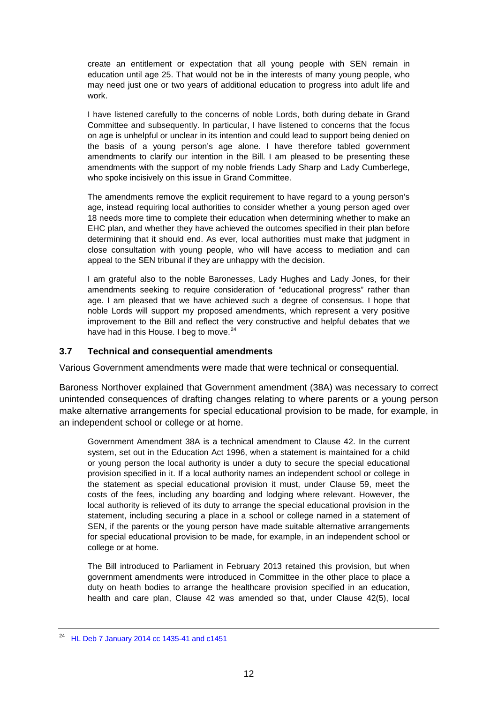create an entitlement or expectation that all young people with SEN remain in education until age 25. That would not be in the interests of many young people, who may need just one or two years of additional education to progress into adult life and work.

I have listened carefully to the concerns of noble Lords, both during debate in Grand Committee and subsequently. In particular, I have listened to concerns that the focus on age is unhelpful or unclear in its intention and could lead to support being denied on the basis of a young person's age alone. I have therefore tabled government amendments to clarify our intention in the Bill. I am pleased to be presenting these amendments with the support of my noble friends Lady Sharp and Lady Cumberlege, who spoke incisively on this issue in Grand Committee.

The amendments remove the explicit requirement to have regard to a young person's age, instead requiring local authorities to consider whether a young person aged over 18 needs more time to complete their education when determining whether to make an EHC plan, and whether they have achieved the outcomes specified in their plan before determining that it should end. As ever, local authorities must make that judgment in close consultation with young people, who will have access to mediation and can appeal to the SEN tribunal if they are unhappy with the decision.

I am grateful also to the noble Baronesses, Lady Hughes and Lady Jones, for their amendments seeking to require consideration of "educational progress" rather than age. I am pleased that we have achieved such a degree of consensus. I hope that noble Lords will support my proposed amendments, which represent a very positive improvement to the Bill and reflect the very constructive and helpful debates that we have had in this House. I beg to move.<sup>[24](#page-11-1)</sup>

#### <span id="page-11-0"></span>**3.7 Technical and consequential amendments**

Various Government amendments were made that were technical or consequential.

Baroness Northover explained that Government amendment (38A) was necessary to correct unintended consequences of drafting changes relating to where parents or a young person make alternative arrangements for special educational provision to be made, for example, in an independent school or college or at home.

Government Amendment 38A is a technical amendment to Clause 42. In the current system, set out in the Education Act 1996, when a statement is maintained for a child or young person the local authority is under a duty to secure the special educational provision specified in it. If a local authority names an independent school or college in the statement as special educational provision it must, under Clause 59, meet the costs of the fees, including any boarding and lodging where relevant. However, the local authority is relieved of its duty to arrange the special educational provision in the statement, including securing a place in a school or college named in a statement of SEN, if the parents or the young person have made suitable alternative arrangements for special educational provision to be made, for example, in an independent school or college or at home.

The Bill introduced to Parliament in February 2013 retained this provision, but when government amendments were introduced in Committee in the other place to place a duty on heath bodies to arrange the healthcare provision specified in an education, health and care plan, Clause 42 was amended so that, under Clause 42(5), local

<span id="page-11-1"></span><sup>24</sup> [HL Deb 7 January 2014 cc 1435-41 and c1451](http://www.publications.parliament.uk/pa/ld201314/ldhansrd/text/140107-0002.htm)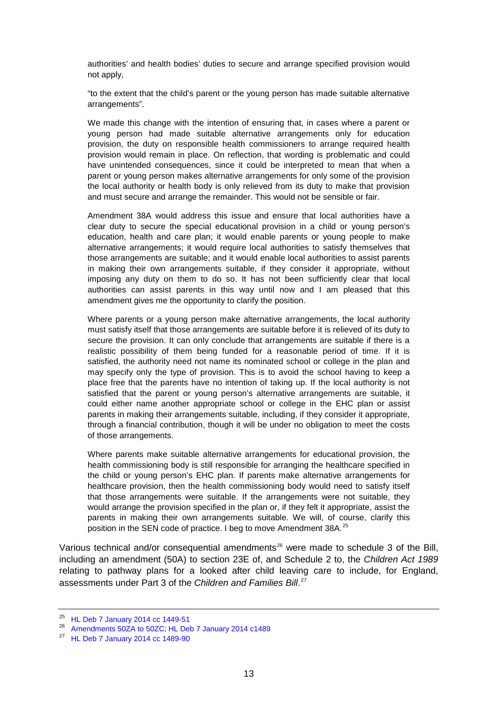authorities' and health bodies' duties to secure and arrange specified provision would not apply,

"to the extent that the child's parent or the young person has made suitable alternative arrangements".

We made this change with the intention of ensuring that, in cases where a parent or young person had made suitable alternative arrangements only for education provision, the duty on responsible health commissioners to arrange required health provision would remain in place. On reflection, that wording is problematic and could have unintended consequences, since it could be interpreted to mean that when a parent or young person makes alternative arrangements for only some of the provision the local authority or health body is only relieved from its duty to make that provision and must secure and arrange the remainder. This would not be sensible or fair.

Amendment 38A would address this issue and ensure that local authorities have a clear duty to secure the special educational provision in a child or young person's education, health and care plan; it would enable parents or young people to make alternative arrangements; it would require local authorities to satisfy themselves that those arrangements are suitable; and it would enable local authorities to assist parents in making their own arrangements suitable, if they consider it appropriate, without imposing any duty on them to do so. It has not been sufficiently clear that local authorities can assist parents in this way until now and I am pleased that this amendment gives me the opportunity to clarify the position.

Where parents or a young person make alternative arrangements, the local authority must satisfy itself that those arrangements are suitable before it is relieved of its duty to secure the provision. It can only conclude that arrangements are suitable if there is a realistic possibility of them being funded for a reasonable period of time. If it is satisfied, the authority need not name its nominated school or college in the plan and may specify only the type of provision. This is to avoid the school having to keep a place free that the parents have no intention of taking up. If the local authority is not satisfied that the parent or young person's alternative arrangements are suitable, it could either name another appropriate school or college in the EHC plan or assist parents in making their arrangements suitable, including, if they consider it appropriate, through a financial contribution, though it will be under no obligation to meet the costs of those arrangements.

Where parents make suitable alternative arrangements for educational provision, the health commissioning body is still responsible for arranging the healthcare specified in the child or young person's EHC plan. If parents make alternative arrangements for healthcare provision, then the health commissioning body would need to satisfy itself that those arrangements were suitable. If the arrangements were not suitable, they would arrange the provision specified in the plan or, if they felt it appropriate, assist the parents in making their own arrangements suitable. We will, of course, clarify this position in the SEN code of practice. I beg to move Amendment 38A.<sup>[25](#page-12-0)</sup>

Various technical and/or consequential amendments<sup>[26](#page-12-1)</sup> were made to schedule 3 of the Bill, including an amendment (50A) to section 23E of, and Schedule 2 to, the *Children Act 1989* relating to pathway plans for a looked after child leaving care to include, for England, assessments under Part 3 of the *Children and Families Bill*. [27](#page-12-2) 

<span id="page-12-0"></span><sup>25</sup> [HL Deb 7 January 2014 cc 1449-51](http://www.publications.parliament.uk/pa/ld201314/ldhansrd/text/140107-0002.htm)

<span id="page-12-1"></span><sup>26</sup> [Amendments 50ZA to 50ZC; HL Deb 7 January 2014 c1489](http://www.publications.parliament.uk/pa/ld201314/ldhansrd/text/140107-0003.htm)

<span id="page-12-2"></span><sup>27</sup> [HL Deb 7 January 2014 cc 1489-90](http://www.publications.parliament.uk/pa/ld201314/ldhansrd/text/140107-0003.htm)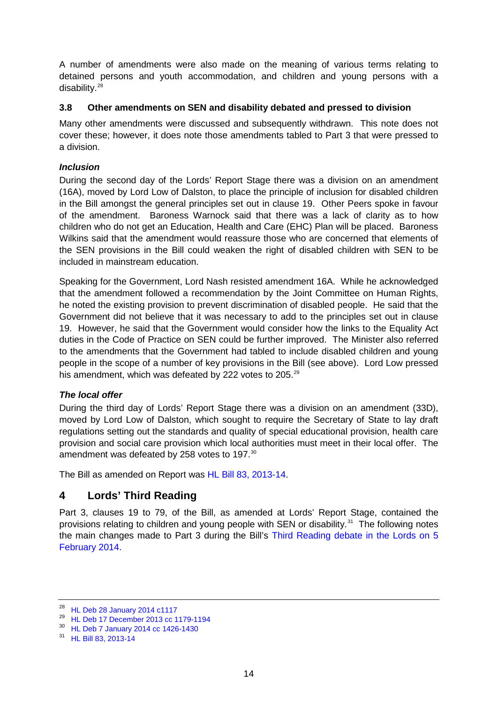A number of amendments were also made on the meaning of various terms relating to detained persons and youth accommodation, and children and young persons with a disability.[28](#page-13-4)

#### <span id="page-13-0"></span>**3.8 Other amendments on SEN and disability debated and pressed to division**

Many other amendments were discussed and subsequently withdrawn. This note does not cover these; however, it does note those amendments tabled to Part 3 that were pressed to a division.

#### <span id="page-13-1"></span>*Inclusion*

During the second day of the Lords' Report Stage there was a division on an amendment (16A), moved by Lord Low of Dalston, to place the principle of inclusion for disabled children in the Bill amongst the general principles set out in clause 19. Other Peers spoke in favour of the amendment. Baroness Warnock said that there was a lack of clarity as to how children who do not get an Education, Health and Care (EHC) Plan will be placed. Baroness Wilkins said that the amendment would reassure those who are concerned that elements of the SEN provisions in the Bill could weaken the right of disabled children with SEN to be included in mainstream education.

Speaking for the Government, Lord Nash resisted amendment 16A. While he acknowledged that the amendment followed a recommendation by the Joint Committee on Human Rights, he noted the existing provision to prevent discrimination of disabled people. He said that the Government did not believe that it was necessary to add to the principles set out in clause 19. However, he said that the Government would consider how the links to the Equality Act duties in the Code of Practice on SEN could be further improved. The Minister also referred to the amendments that the Government had tabled to include disabled children and young people in the scope of a number of key provisions in the Bill (see above). Lord Low pressed his amendment, which was defeated by 222 votes to 205.<sup>[29](#page-13-5)</sup>

### <span id="page-13-2"></span>*The local offer*

During the third day of Lords' Report Stage there was a division on an amendment (33D), moved by Lord Low of Dalston, which sought to require the Secretary of State to lay draft regulations setting out the standards and quality of special educational provision, health care provision and social care provision which local authorities must meet in their local offer. The amendment was defeated by 258 votes to 197.<sup>[30](#page-13-6)</sup>

The Bill as amended on Report was [HL Bill 83, 2013-14.](http://www.publications.parliament.uk/pa/bills/lbill/2013-2014/0083/14083.pdf)

## <span id="page-13-3"></span>**4 Lords' Third Reading**

Part 3, clauses 19 to 79, of the Bill, as amended at Lords' Report Stage, contained the provisions relating to children and young people with SEN or disability. $31$  The following notes the main changes made to Part 3 during the Bill's [Third Reading debate in the Lords on 5](http://www.publications.parliament.uk/pa/ld201314/ldhansrd/text/140205-0001.htm#14020581000654)  [February 2014.](http://www.publications.parliament.uk/pa/ld201314/ldhansrd/text/140205-0001.htm#14020581000654)

<span id="page-13-4"></span><sup>28</sup> [HL Deb 28 January 2014 c1117](http://www.publications.parliament.uk/pa/ld201314/ldhansrd/text/140128-0002.htm#14012881000655)

<span id="page-13-5"></span><sup>29</sup> [HL Deb 17 December 2013 cc 1179-1194](http://www.publications.parliament.uk/pa/ld201314/ldhansrd/text/131217-0002.htm)

<span id="page-13-6"></span><sup>30</sup> [HL Deb 7 January 2014 cc 1426-1430](http://www.publications.parliament.uk/pa/ld201314/ldhansrd/text/140107-0001.htm#14010750000895)

<span id="page-13-7"></span><sup>31</sup> [HL Bill 83, 2013-14](http://www.publications.parliament.uk/pa/bills/lbill/2013-2014/0083/14083.pdf)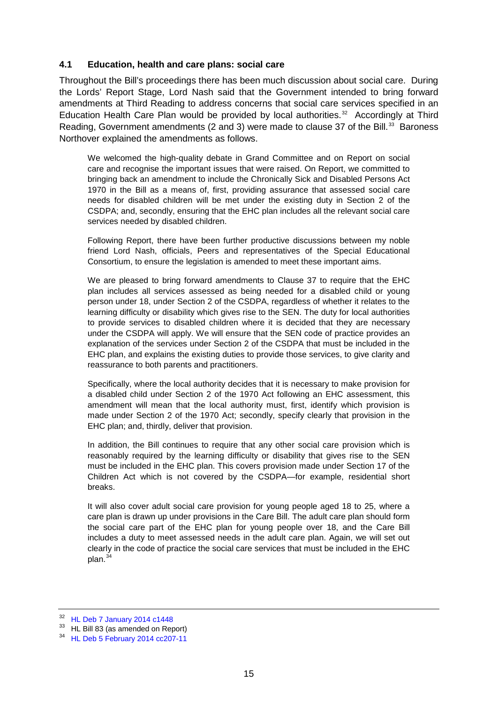#### <span id="page-14-0"></span>**4.1 Education, health and care plans: social care**

Throughout the Bill's proceedings there has been much discussion about social care. During the Lords' Report Stage, Lord Nash said that the Government intended to bring forward amendments at Third Reading to address concerns that social care services specified in an Education Health Care Plan would be provided by local authorities.<sup>32</sup> Accordingly at Third Reading, Government amendments (2 and 3) were made to clause 37 of the Bill.<sup>33</sup> Baroness Northover explained the amendments as follows.

We welcomed the high-quality debate in Grand Committee and on Report on social care and recognise the important issues that were raised. On Report, we committed to bringing back an amendment to include the Chronically Sick and Disabled Persons Act 1970 in the Bill as a means of, first, providing assurance that assessed social care needs for disabled children will be met under the existing duty in Section 2 of the CSDPA; and, secondly, ensuring that the EHC plan includes all the relevant social care services needed by disabled children.

Following Report, there have been further productive discussions between my noble friend Lord Nash, officials, Peers and representatives of the Special Educational Consortium, to ensure the legislation is amended to meet these important aims.

We are pleased to bring forward amendments to Clause 37 to require that the EHC plan includes all services assessed as being needed for a disabled child or young person under 18, under Section 2 of the CSDPA, regardless of whether it relates to the learning difficulty or disability which gives rise to the SEN. The duty for local authorities to provide services to disabled children where it is decided that they are necessary under the CSDPA will apply. We will ensure that the SEN code of practice provides an explanation of the services under Section 2 of the CSDPA that must be included in the EHC plan, and explains the existing duties to provide those services, to give clarity and reassurance to both parents and practitioners.

Specifically, where the local authority decides that it is necessary to make provision for a disabled child under Section 2 of the 1970 Act following an EHC assessment, this amendment will mean that the local authority must, first, identify which provision is made under Section 2 of the 1970 Act; secondly, specify clearly that provision in the EHC plan; and, thirdly, deliver that provision.

In addition, the Bill continues to require that any other social care provision which is reasonably required by the learning difficulty or disability that gives rise to the SEN must be included in the EHC plan. This covers provision made under Section 17 of the Children Act which is not covered by the CSDPA—for example, residential short breaks.

It will also cover adult social care provision for young people aged 18 to 25, where a care plan is drawn up under provisions in the Care Bill. The adult care plan should form the social care part of the EHC plan for young people over 18, and the Care Bill includes a duty to meet assessed needs in the adult care plan. Again, we will set out clearly in the code of practice the social care services that must be included in the EHC plan.<sup>[34](#page-14-3)</sup>

<span id="page-14-1"></span><sup>32</sup> [HL Deb 7 January 2014 c1448](http://www.publications.parliament.uk/pa/ld201314/ldhansrd/text/140107-0002.htm)

<span id="page-14-2"></span><sup>&</sup>lt;sup>33</sup> HL Bill 83 (as amended on Report)

<span id="page-14-3"></span><sup>34</sup> [HL Deb 5 February 2014 cc207-11](http://www.publications.parliament.uk/pa/ld201314/ldhansrd/text/140205-0001.htm#14020581000638)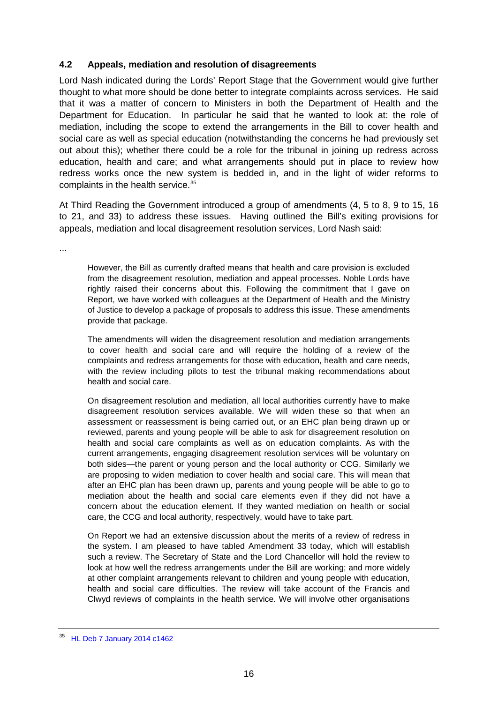#### <span id="page-15-0"></span>**4.2 Appeals, mediation and resolution of disagreements**

Lord Nash indicated during the Lords' Report Stage that the Government would give further thought to what more should be done better to integrate complaints across services. He said that it was a matter of concern to Ministers in both the Department of Health and the Department for Education. In particular he said that he wanted to look at: the role of mediation, including the scope to extend the arrangements in the Bill to cover health and social care as well as special education (notwithstanding the concerns he had previously set out about this); whether there could be a role for the tribunal in joining up redress across education, health and care; and what arrangements should put in place to review how redress works once the new system is bedded in, and in the light of wider reforms to complaints in the health service.<sup>[35](#page-15-1)</sup>

At Third Reading the Government introduced a group of amendments (4, 5 to 8, 9 to 15, 16 to 21, and 33) to address these issues. Having outlined the Bill's exiting provisions for appeals, mediation and local disagreement resolution services, Lord Nash said:

...

However, the Bill as currently drafted means that health and care provision is excluded from the disagreement resolution, mediation and appeal processes. Noble Lords have rightly raised their concerns about this. Following the commitment that I gave on Report, we have worked with colleagues at the Department of Health and the Ministry of Justice to develop a package of proposals to address this issue. These amendments provide that package.

The amendments will widen the disagreement resolution and mediation arrangements to cover health and social care and will require the holding of a review of the complaints and redress arrangements for those with education, health and care needs, with the review including pilots to test the tribunal making recommendations about health and social care.

On disagreement resolution and mediation, all local authorities currently have to make disagreement resolution services available. We will widen these so that when an assessment or reassessment is being carried out, or an EHC plan being drawn up or reviewed, parents and young people will be able to ask for disagreement resolution on health and social care complaints as well as on education complaints. As with the current arrangements, engaging disagreement resolution services will be voluntary on both sides—the parent or young person and the local authority or CCG. Similarly we are proposing to widen mediation to cover health and social care. This will mean that after an EHC plan has been drawn up, parents and young people will be able to go to mediation about the health and social care elements even if they did not have a concern about the education element. If they wanted mediation on health or social care, the CCG and local authority, respectively, would have to take part.

On Report we had an extensive discussion about the merits of a review of redress in the system. I am pleased to have tabled Amendment 33 today, which will establish such a review. The Secretary of State and the Lord Chancellor will hold the review to look at how well the redress arrangements under the Bill are working; and more widely at other complaint arrangements relevant to children and young people with education, health and social care difficulties. The review will take account of the Francis and Clwyd reviews of complaints in the health service. We will involve other organisations

<span id="page-15-1"></span><sup>35</sup> [HL Deb 7 January 2014 c1462](http://www.publications.parliament.uk/pa/ld201314/ldhansrd/text/140107-0002.htm)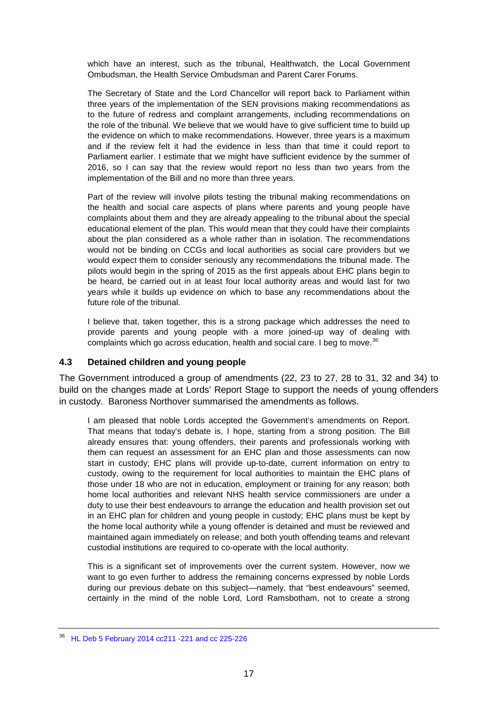which have an interest, such as the tribunal, Healthwatch, the Local Government Ombudsman, the Health Service Ombudsman and Parent Carer Forums.

The Secretary of State and the Lord Chancellor will report back to Parliament within three years of the implementation of the SEN provisions making recommendations as to the future of redress and complaint arrangements, including recommendations on the role of the tribunal. We believe that we would have to give sufficient time to build up the evidence on which to make recommendations. However, three years is a maximum and if the review felt it had the evidence in less than that time it could report to Parliament earlier. I estimate that we might have sufficient evidence by the summer of 2016, so I can say that the review would report no less than two years from the implementation of the Bill and no more than three years.

Part of the review will involve pilots testing the tribunal making recommendations on the health and social care aspects of plans where parents and young people have complaints about them and they are already appealing to the tribunal about the special educational element of the plan. This would mean that they could have their complaints about the plan considered as a whole rather than in isolation. The recommendations would not be binding on CCGs and local authorities as social care providers but we would expect them to consider seriously any recommendations the tribunal made. The pilots would begin in the spring of 2015 as the first appeals about EHC plans begin to be heard, be carried out in at least four local authority areas and would last for two years while it builds up evidence on which to base any recommendations about the future role of the tribunal.

I believe that, taken together, this is a strong package which addresses the need to provide parents and young people with a more joined-up way of dealing with complaints which go across education, health and social care. I beg to move.<sup>[36](#page-16-1)</sup>

#### <span id="page-16-0"></span>**4.3 Detained children and young people**

The Government introduced a group of amendments (22, 23 to 27, 28 to 31, 32 and 34) to build on the changes made at Lords' Report Stage to support the needs of young offenders in custody. Baroness Northover summarised the amendments as follows.

I am pleased that noble Lords accepted the Government's amendments on Report. That means that today's debate is, I hope, starting from a strong position. The Bill already ensures that: young offenders, their parents and professionals working with them can request an assessment for an EHC plan and those assessments can now start in custody; EHC plans will provide up-to-date, current information on entry to custody, owing to the requirement for local authorities to maintain the EHC plans of those under 18 who are not in education, employment or training for any reason; both home local authorities and relevant NHS health service commissioners are under a duty to use their best endeavours to arrange the education and health provision set out in an EHC plan for children and young people in custody; EHC plans must be kept by the home local authority while a young offender is detained and must be reviewed and maintained again immediately on release; and both youth offending teams and relevant custodial institutions are required to co-operate with the local authority.

This is a significant set of improvements over the current system. However, now we want to go even further to address the remaining concerns expressed by noble Lords during our previous debate on this subject—namely, that "best endeavours" seemed, certainly in the mind of the noble Lord, Lord Ramsbotham, not to create a strong

<span id="page-16-1"></span><sup>36</sup> [HL Deb 5 February 2014 cc211 -221](http://www.publications.parliament.uk/pa/ld201314/ldhansrd/text/140205-0001.htm#14020581000638) and cc 225-226